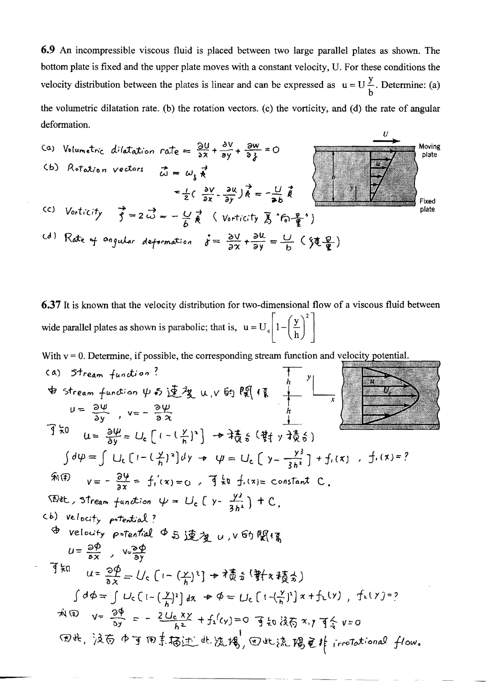6.9 An incompressible viscous fluid is placed between two large parallel plates as shown. The bottom plate is fixed and the upper plate moves with a constant velocity, U. For these conditions the velocity distribution between the plates is linear and can be expressed as  $u = U\frac{y}{b}$ . Determine: (a) the volumetric dilatation rate. (b) the rotation vectors. (c) the vorticity, and (d) the rate of angular deformation.



6.37 It is known that the velocity distribution for two-dimensional flow of a viscous fluid between wide parallel plates as shown is parabolic; that is,  $u = U_e \left[ 1 - \left( \frac{y}{h} \right)^2 \right]$ 

With  $v = 0$ . Determine, if possible, the corresponding stream function and velocity potential.

(a) Stream function?  
\n
$$
\oint \text{Stream function } \psi \text{ is } \frac{1}{2} \mathcal{X} u, v \text{ is } \mathbb{R} \left( \sqrt[n]{\frac{n}{n}} \right)
$$
\n
$$
u = \frac{3w}{3y}, v = -\frac{3w}{9x}
$$
\n
$$
\int \frac{1}{x} \psi \, du = \frac{3w}{3y} = U_{c} \left[ (-\frac{y}{n})^{2} \right] + \frac{1}{3} \frac{1}{6} \left( \frac{1}{3} \frac{1}{3} \right) + \frac{y^{2}}{16} \left( \frac{y}{3} \right)
$$
\n
$$
\int d\psi = \int U_{c} \left[ (-\left(\frac{y}{n}\right)^{2} \right] dy - \psi = U_{c} \left( y - \frac{y^{2}}{3h^{2}} \right) + \frac{y^{2}}{16} \left( \frac{x}{3} \right) + \frac{y^{2}}{16} \left( \frac{x}{3} \right) + \frac{y^{2}}{16} \left( \frac{x}{3} \right) + \frac{y^{2}}{16} \left( \frac{x}{3} \right)
$$
\n
$$
\Rightarrow \text{where, } \mathbb{R} \left( \frac{y}{n} \right) \text{ is } \mathbb{R} \left( \frac{y}{n} \right) \text{ is } \mathbb{R} \left( \frac{y}{n} \right) \text{ is } \mathbb{R} \left( \frac{y}{n} \right) \text{ is } \mathbb{R} \left( \frac{y}{n} \right) \text{ is } \mathbb{R} \left( \frac{y}{n} \right) \text{ is } \mathbb{R} \left( \frac{y}{n} \right) \text{ is } \mathbb{R} \left( \frac{y}{n} \right) \text{ is } \mathbb{R} \left( \frac{y}{n} \right) \text{ is } \mathbb{R} \left( \frac{y}{n} \right) \text{ is } \mathbb{R} \left( \frac{y}{n} \right) \text{ is } \mathbb{R} \left( \frac{y}{n} \right) \text{ is } \mathbb{R} \left( \frac{y}{n} \right) \text{ is } \mathbb{R} \left( \frac{y}{n} \right) \text{ is } \mathbb{R} \left( \frac{y}{n} \right) \text{ is } \mathbb{R
$$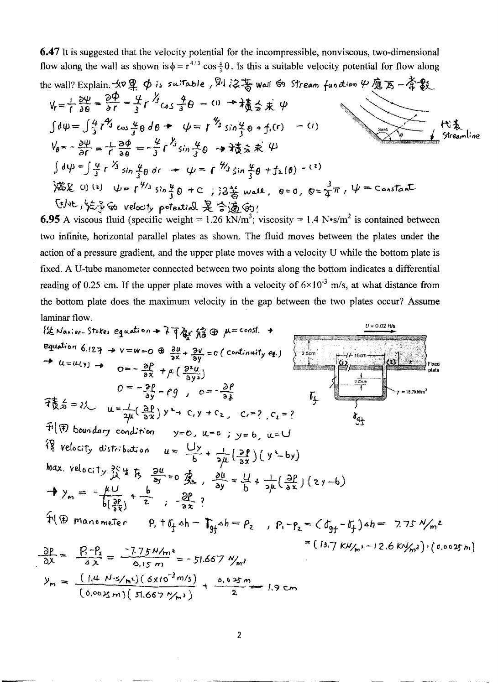6.47 It is suggested that the velocity potential for the incompressible, nonviscous, two-dimensional flow along the wall as shown is  $\phi = r^{4/3} \cos \frac{4}{3} \theta$ . Is this a suitable velocity potential for flow along

\n The wall? Explain. 
$$
30\frac{10}{4}
$$
 6 is suitable,  $8\frac{1}{6}$  6.3% will 69. Stream function  $\psi$  6.3 = -4.30.\n

\n\n $V_r = \frac{1}{1} \frac{\partial \psi}{\partial \theta} = \frac{\partial \phi}{\partial r} = \frac{1}{3} r^{\frac{1}{3}} \cos \frac{\phi}{3} \theta - \omega + \frac{1}{3} \frac{\partial}{\partial s} \times \psi$ \n

\n\n $\int d\psi = \int \frac{4}{3} r^{\frac{2}{3}} \cos \frac{\phi}{3} \theta \, d\theta + \psi = r^{\frac{1}{3}} \sin \frac{\phi}{3} \theta + f_r(r) - \omega$ \n

\n\n $V_\theta = -\frac{\partial \psi}{\partial r} = -\frac{1}{3} \frac{\partial \phi}{\partial \theta} = -\frac{\psi}{3} r^{\frac{1}{3}} \sin \frac{\phi}{3} \theta + \frac{\psi}{3} \sin \frac{\phi}{3} \times \psi$ \n

\n\n $\int d\psi = \int \frac{\psi}{3} r^{\frac{1}{3}} \sin \frac{\phi}{3} \, dr - \psi = r^{\frac{1}{3}} \sin \frac{\phi}{3} \, d\theta + f_2(\theta) - \omega$ \n

\n\n 1.88. (i) (a)  $\psi = r^{\frac{1}{3}} \sin \frac{\phi}{3} \, dr - \psi = r^{\frac{1}{3}} \sin \frac{\phi}{3} \, d\theta + f_2(\theta) - \omega$ \n

\n\n 1.89. (ii)  $\psi = r^{\frac{1}{3}} \sin \frac{\phi}{3} \, dr - \psi = r^{\frac{1}{3}} \sin \frac{\phi}{3} \, d\theta + f_2(\theta) - \omega$ \n

\n\n 1.90. (b)  $\psi = r^{\frac{1}{3}} \sin \frac{\phi}{3} \, dr - \psi = r^{\frac{1}{3}} \sin \frac{\phi}{3} \, d\theta + f_2(\theta) - \omega$ \n

**6.95** A viscous fluid (specific weight = 1.26 kN/m<sup>3</sup>; viscosity = 1.4 N•s/m<sup>2</sup> is contained between two infinite, horizontal parallel plates as shown. The fluid moves between the plates under the action of a pressure gradient, and the upper plate moves with a velocity U while the bottom plate is fixed. A U-tube manometer connected between two points along the bottom indicates a differential reading of 0.25 cm. If the upper plate moves with a velocity of  $6 \times 10^{-3}$  m/s, at what distance from the bottom plate does the maximum velocity in the gap between the two plates occur? Assume laminar flow.

$$
\{\&\text{Max: } r_{0} \text{ is equivalent to } \lambda \text{ and } \lambda \text{ is equivalent to } \lambda \text{ and } \lambda \text{ is odd} \}
$$
\n
$$
\Rightarrow u = u(y) \Rightarrow 0 = -\frac{2\beta}{3\lambda} + \mu(\frac{3\mu}{3y}) = 0 \text{ (continuity } q_1) \quad \frac{1}{2\sin(\pi/2)} \quad \frac{dy}{dx} = 0
$$
\n
$$
\Rightarrow u = u(y) \Rightarrow 0 = -\frac{2\beta}{3\lambda} + \mu(\frac{3\mu}{3y})
$$
\n
$$
0 = -\frac{2\beta}{3\lambda} + \mu(\frac{3\mu}{3y})
$$
\n
$$
0 = -\frac{2\beta}{3\lambda} + \mu(\frac{3\mu}{3y})
$$
\n
$$
\Rightarrow u = \frac{1}{2\mu}(\frac{3\beta}{3\lambda})y + c_1y + c_2, c_1 = ?
$$
\n
$$
\Rightarrow u = \frac{1}{2\mu}(\frac{3\beta}{3\lambda})y + c_1y + c_2, c_1 = ?
$$
\n
$$
\Rightarrow \text{Max. velocity } \frac{3\zeta}{2\lambda} \text{ if } \frac{1}{\lambda} = \frac{3\mu}{3\mu} = 0 \text{ (for } \lambda \text{ is odd})
$$
\n
$$
\Rightarrow y_m = -\frac{\mu U}{b(\frac{3\mu}{3\lambda})} + \frac{b}{2}, \frac{3\mu}{3\lambda} = ?
$$
\n
$$
\Rightarrow y_m = -\frac{\mu U}{b(\frac{3\mu}{3\lambda})} + \frac{b}{2}, \frac{3\mu}{3\lambda} = ?
$$
\n
$$
\Rightarrow y_m = \frac{-\mu U}{b(\frac{3\mu}{3\lambda})} + \frac{b}{2}, \frac{3\mu}{3\lambda} = -\frac{5}{2}, 657 \text{ W}_{m};
$$
\n
$$
\Rightarrow y_m = \frac{(-14 \text{ N} \cdot \text{s/m}) \cdot (\cos 3\pi)}{(\cos 3\pi)} + \frac{0.033 \text{ m}}{(\cos 3\pi)} + \frac{0.033 \text{ m}}{(\cos 3\pi)} + \frac{0.033 \text{ m}}{(\cos 3\pi)} + \frac{0.033 \text{ m}}{(\cos 3\pi)} + \frac{0.033 \
$$

$$
\frac{1}{(0.0025 \text{ m}) \left( 51.667 \frac{\gamma}{m^3} \right)} + \frac{1}{2} = 1.9 \text{ cm}
$$